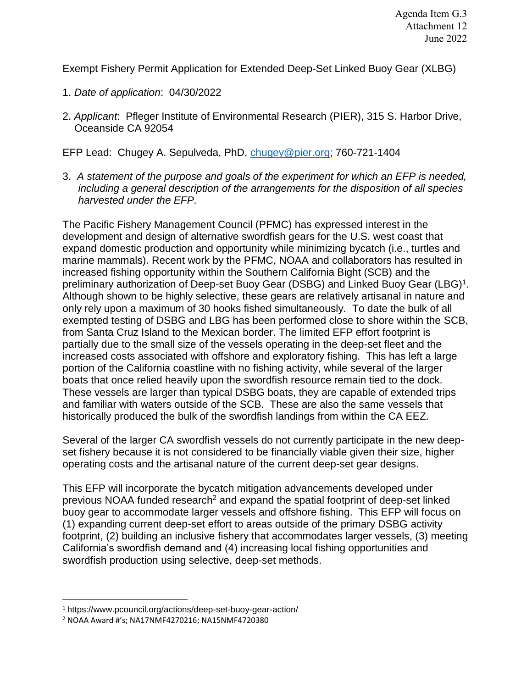Exempt Fishery Permit Application for Extended Deep-Set Linked Buoy Gear (XLBG)

- 1. *Date of application*: 04/30/2022
- 2. *Applicant*: Pfleger Institute of Environmental Research (PIER), 315 S. Harbor Drive, Oceanside CA 92054

EFP Lead: Chugey A. Sepulveda, PhD, [chugey@pier.org;](mailto:chugey@pier.org) 760-721-1404

3. *A statement of the purpose and goals of the experiment for which an EFP is needed, including a general description of the arrangements for the disposition of all species harvested under the EFP.*

The Pacific Fishery Management Council (PFMC) has expressed interest in the development and design of alternative swordfish gears for the U.S. west coast that expand domestic production and opportunity while minimizing bycatch (i.e., turtles and marine mammals). Recent work by the PFMC, NOAA and collaborators has resulted in increased fishing opportunity within the Southern California Bight (SCB) and the preliminary authorization of Deep-set Buoy Gear (DSBG) and Linked Buoy Gear (LBG)<sup>1</sup>. Although shown to be highly selective, these gears are relatively artisanal in nature and only rely upon a maximum of 30 hooks fished simultaneously. To date the bulk of all exempted testing of DSBG and LBG has been performed close to shore within the SCB, from Santa Cruz Island to the Mexican border. The limited EFP effort footprint is partially due to the small size of the vessels operating in the deep-set fleet and the increased costs associated with offshore and exploratory fishing. This has left a large portion of the California coastline with no fishing activity, while several of the larger boats that once relied heavily upon the swordfish resource remain tied to the dock. These vessels are larger than typical DSBG boats, they are capable of extended trips and familiar with waters outside of the SCB. These are also the same vessels that historically produced the bulk of the swordfish landings from within the CA EEZ.

Several of the larger CA swordfish vessels do not currently participate in the new deepset fishery because it is not considered to be financially viable given their size, higher operating costs and the artisanal nature of the current deep-set gear designs.

This EFP will incorporate the bycatch mitigation advancements developed under previous NOAA funded research<sup>2</sup> and expand the spatial footprint of deep-set linked buoy gear to accommodate larger vessels and offshore fishing. This EFP will focus on (1) expanding current deep-set effort to areas outside of the primary DSBG activity footprint, (2) building an inclusive fishery that accommodates larger vessels, (3) meeting California's swordfish demand and (4) increasing local fishing opportunities and swordfish production using selective, deep-set methods.

<sup>1</sup> https://www.pcouncil.org/actions/deep-set-buoy-gear-action/

<sup>2</sup> NOAA Award #'s; NA17NMF4270216; NA15NMF4720380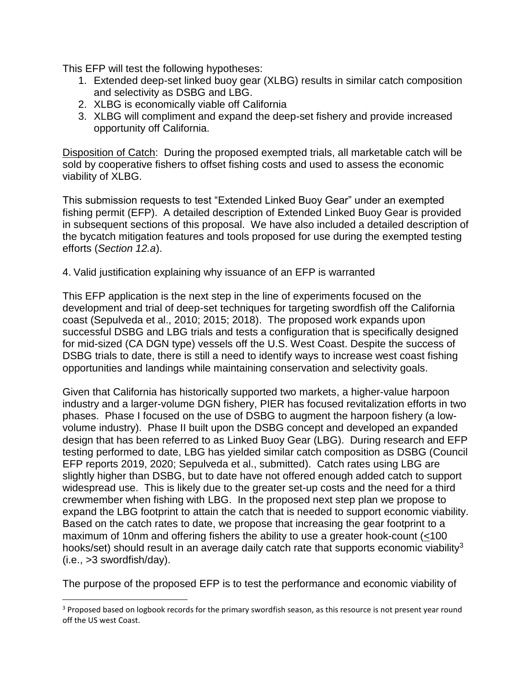This EFP will test the following hypotheses:

- 1. Extended deep-set linked buoy gear (XLBG) results in similar catch composition and selectivity as DSBG and LBG.
- 2. XLBG is economically viable off California
- 3. XLBG will compliment and expand the deep-set fishery and provide increased opportunity off California.

Disposition of Catch: During the proposed exempted trials, all marketable catch will be sold by cooperative fishers to offset fishing costs and used to assess the economic viability of XLBG.

This submission requests to test "Extended Linked Buoy Gear" under an exempted fishing permit (EFP). A detailed description of Extended Linked Buoy Gear is provided in subsequent sections of this proposal. We have also included a detailed description of the bycatch mitigation features and tools proposed for use during the exempted testing efforts (*Section 12.a*).

4. Valid justification explaining why issuance of an EFP is warranted

This EFP application is the next step in the line of experiments focused on the development and trial of deep-set techniques for targeting swordfish off the California coast (Sepulveda et al., 2010; 2015; 2018). The proposed work expands upon successful DSBG and LBG trials and tests a configuration that is specifically designed for mid-sized (CA DGN type) vessels off the U.S. West Coast. Despite the success of DSBG trials to date, there is still a need to identify ways to increase west coast fishing opportunities and landings while maintaining conservation and selectivity goals.

Given that California has historically supported two markets, a higher-value harpoon industry and a larger-volume DGN fishery, PIER has focused revitalization efforts in two phases. Phase I focused on the use of DSBG to augment the harpoon fishery (a lowvolume industry). Phase II built upon the DSBG concept and developed an expanded design that has been referred to as Linked Buoy Gear (LBG). During research and EFP testing performed to date, LBG has yielded similar catch composition as DSBG (Council EFP reports 2019, 2020; Sepulveda et al., submitted). Catch rates using LBG are slightly higher than DSBG, but to date have not offered enough added catch to support widespread use. This is likely due to the greater set-up costs and the need for a third crewmember when fishing with LBG. In the proposed next step plan we propose to expand the LBG footprint to attain the catch that is needed to support economic viability. Based on the catch rates to date, we propose that increasing the gear footprint to a maximum of 10nm and offering fishers the ability to use a greater hook-count (<100 hooks/set) should result in an average daily catch rate that supports economic viability<sup>3</sup> (i.e., >3 swordfish/day).

The purpose of the proposed EFP is to test the performance and economic viability of

l

<sup>&</sup>lt;sup>3</sup> Proposed based on logbook records for the primary swordfish season, as this resource is not present year round off the US west Coast.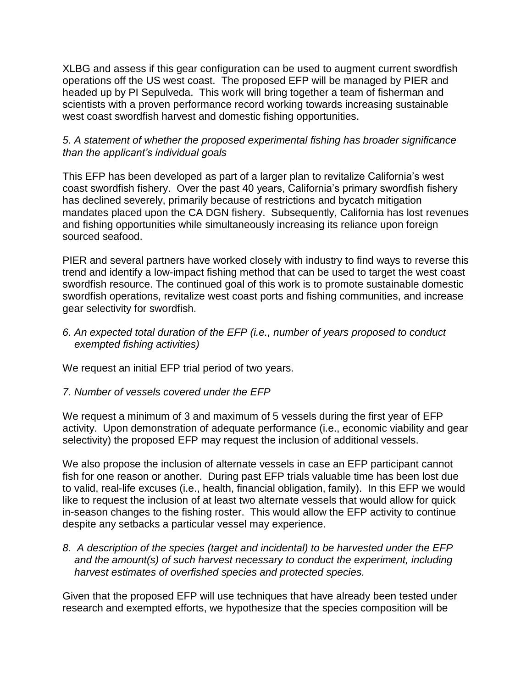XLBG and assess if this gear configuration can be used to augment current swordfish operations off the US west coast. The proposed EFP will be managed by PIER and headed up by PI Sepulveda. This work will bring together a team of fisherman and scientists with a proven performance record working towards increasing sustainable west coast swordfish harvest and domestic fishing opportunities.

### *5. A statement of whether the proposed experimental fishing has broader significance than the applicant's individual goals*

This EFP has been developed as part of a larger plan to revitalize California's west coast swordfish fishery. Over the past 40 years, California's primary swordfish fishery has declined severely, primarily because of restrictions and bycatch mitigation mandates placed upon the CA DGN fishery. Subsequently, California has lost revenues and fishing opportunities while simultaneously increasing its reliance upon foreign sourced seafood.

PIER and several partners have worked closely with industry to find ways to reverse this trend and identify a low-impact fishing method that can be used to target the west coast swordfish resource. The continued goal of this work is to promote sustainable domestic swordfish operations, revitalize west coast ports and fishing communities, and increase gear selectivity for swordfish.

### *6. An expected total duration of the EFP (i.e., number of years proposed to conduct exempted fishing activities)*

We request an initial EFP trial period of two years.

### *7. Number of vessels covered under the EFP*

We request a minimum of 3 and maximum of 5 vessels during the first year of EFP activity. Upon demonstration of adequate performance (i.e., economic viability and gear selectivity) the proposed EFP may request the inclusion of additional vessels.

We also propose the inclusion of alternate vessels in case an EFP participant cannot fish for one reason or another. During past EFP trials valuable time has been lost due to valid, real-life excuses (i.e., health, financial obligation, family). In this EFP we would like to request the inclusion of at least two alternate vessels that would allow for quick in-season changes to the fishing roster. This would allow the EFP activity to continue despite any setbacks a particular vessel may experience.

*8. A description of the species (target and incidental) to be harvested under the EFP and the amount(s) of such harvest necessary to conduct the experiment, including harvest estimates of overfished species and protected species.* 

Given that the proposed EFP will use techniques that have already been tested under research and exempted efforts, we hypothesize that the species composition will be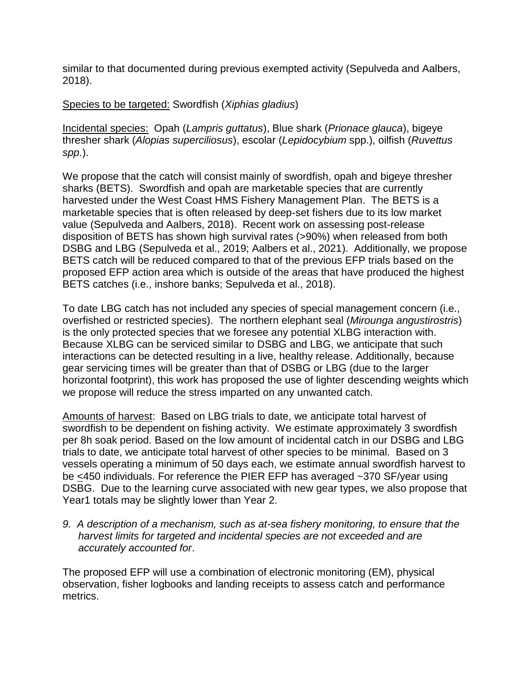similar to that documented during previous exempted activity (Sepulveda and Aalbers, 2018).

Species to be targeted: Swordfish (*Xiphias gladius*)

Incidental species: Opah (*Lampris guttatus*), Blue shark (*Prionace glauca*), bigeye thresher shark (*Alopias superciliosus*), escolar (*Lepidocybium* spp.), oilfish (*Ruvettus spp.*).

We propose that the catch will consist mainly of swordfish, opah and bigeye thresher sharks (BETS). Swordfish and opah are marketable species that are currently harvested under the West Coast HMS Fishery Management Plan. The BETS is a marketable species that is often released by deep-set fishers due to its low market value (Sepulveda and Aalbers, 2018). Recent work on assessing post-release disposition of BETS has shown high survival rates (>90%) when released from both DSBG and LBG (Sepulveda et al., 2019; Aalbers et al., 2021). Additionally, we propose BETS catch will be reduced compared to that of the previous EFP trials based on the proposed EFP action area which is outside of the areas that have produced the highest BETS catches (i.e., inshore banks; Sepulveda et al., 2018).

To date LBG catch has not included any species of special management concern (i.e., overfished or restricted species). The northern elephant seal (*Mirounga angustirostris*) is the only protected species that we foresee any potential XLBG interaction with. Because XLBG can be serviced similar to DSBG and LBG, we anticipate that such interactions can be detected resulting in a live, healthy release. Additionally, because gear servicing times will be greater than that of DSBG or LBG (due to the larger horizontal footprint), this work has proposed the use of lighter descending weights which we propose will reduce the stress imparted on any unwanted catch.

Amounts of harvest: Based on LBG trials to date, we anticipate total harvest of swordfish to be dependent on fishing activity. We estimate approximately 3 swordfish per 8h soak period. Based on the low amount of incidental catch in our DSBG and LBG trials to date, we anticipate total harvest of other species to be minimal. Based on 3 vessels operating a minimum of 50 days each, we estimate annual swordfish harvest to be <450 individuals. For reference the PIER EFP has averaged ~370 SF/year using DSBG. Due to the learning curve associated with new gear types, we also propose that Year1 totals may be slightly lower than Year 2.

*9. A description of a mechanism, such as at-sea fishery monitoring, to ensure that the harvest limits for targeted and incidental species are not exceeded and are accurately accounted for*.

The proposed EFP will use a combination of electronic monitoring (EM), physical observation, fisher logbooks and landing receipts to assess catch and performance metrics.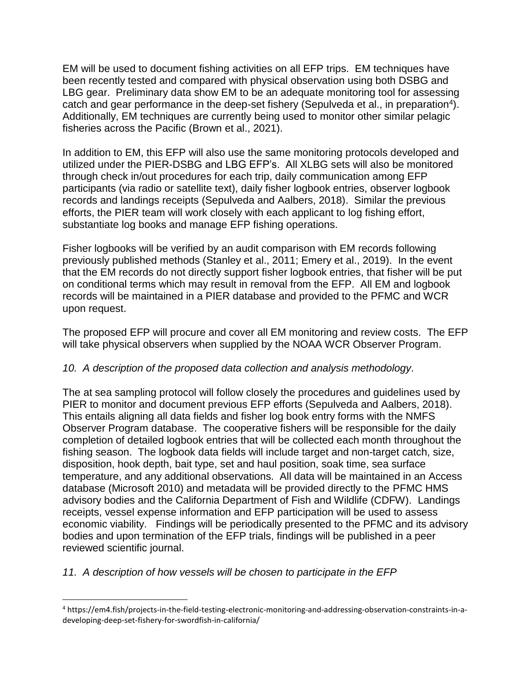EM will be used to document fishing activities on all EFP trips. EM techniques have been recently tested and compared with physical observation using both DSBG and LBG gear. Preliminary data show EM to be an adequate monitoring tool for assessing catch and gear performance in the deep-set fishery (Sepulveda et al., in preparation<sup>4</sup>). Additionally, EM techniques are currently being used to monitor other similar pelagic fisheries across the Pacific (Brown et al., 2021).

In addition to EM, this EFP will also use the same monitoring protocols developed and utilized under the PIER-DSBG and LBG EFP's. All XLBG sets will also be monitored through check in/out procedures for each trip, daily communication among EFP participants (via radio or satellite text), daily fisher logbook entries, observer logbook records and landings receipts (Sepulveda and Aalbers, 2018). Similar the previous efforts, the PIER team will work closely with each applicant to log fishing effort, substantiate log books and manage EFP fishing operations.

Fisher logbooks will be verified by an audit comparison with EM records following previously published methods (Stanley et al., 2011; Emery et al., 2019). In the event that the EM records do not directly support fisher logbook entries, that fisher will be put on conditional terms which may result in removal from the EFP. All EM and logbook records will be maintained in a PIER database and provided to the PFMC and WCR upon request.

The proposed EFP will procure and cover all EM monitoring and review costs. The EFP will take physical observers when supplied by the NOAA WCR Observer Program.

# *10. A description of the proposed data collection and analysis methodology.*

The at sea sampling protocol will follow closely the procedures and guidelines used by PIER to monitor and document previous EFP efforts (Sepulveda and Aalbers, 2018). This entails aligning all data fields and fisher log book entry forms with the NMFS Observer Program database. The cooperative fishers will be responsible for the daily completion of detailed logbook entries that will be collected each month throughout the fishing season. The logbook data fields will include target and non-target catch, size, disposition, hook depth, bait type, set and haul position, soak time, sea surface temperature, and any additional observations. All data will be maintained in an Access database (Microsoft 2010) and metadata will be provided directly to the PFMC HMS advisory bodies and the California Department of Fish and Wildlife (CDFW). Landings receipts, vessel expense information and EFP participation will be used to assess economic viability. Findings will be periodically presented to the PFMC and its advisory bodies and upon termination of the EFP trials, findings will be published in a peer reviewed scientific journal.

# *11. A description of how vessels will be chosen to participate in the EFP*

l

<sup>4</sup> https://em4.fish/projects-in-the-field-testing-electronic-monitoring-and-addressing-observation-constraints-in-adeveloping-deep-set-fishery-for-swordfish-in-california/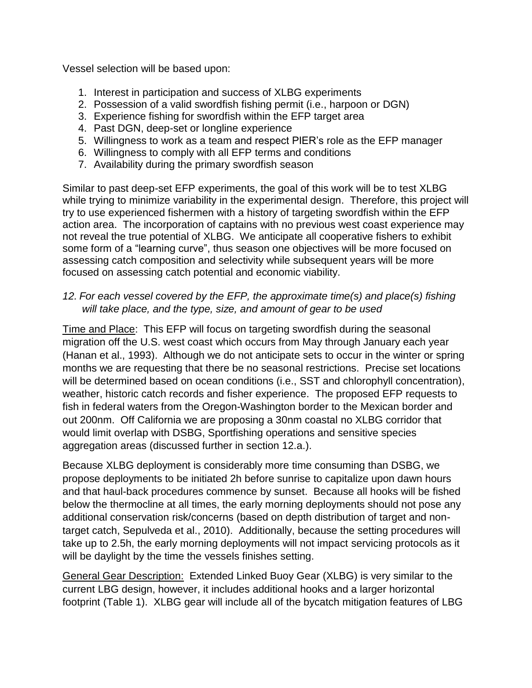Vessel selection will be based upon:

- 1. Interest in participation and success of XLBG experiments
- 2. Possession of a valid swordfish fishing permit (i.e., harpoon or DGN)
- 3. Experience fishing for swordfish within the EFP target area
- 4. Past DGN, deep-set or longline experience
- 5. Willingness to work as a team and respect PIER's role as the EFP manager
- 6. Willingness to comply with all EFP terms and conditions
- 7. Availability during the primary swordfish season

Similar to past deep-set EFP experiments, the goal of this work will be to test XLBG while trying to minimize variability in the experimental design. Therefore, this project will try to use experienced fishermen with a history of targeting swordfish within the EFP action area. The incorporation of captains with no previous west coast experience may not reveal the true potential of XLBG. We anticipate all cooperative fishers to exhibit some form of a "learning curve", thus season one objectives will be more focused on assessing catch composition and selectivity while subsequent years will be more focused on assessing catch potential and economic viability.

# *12. For each vessel covered by the EFP, the approximate time(s) and place(s) fishing will take place, and the type, size, and amount of gear to be used*

Time and Place: This EFP will focus on targeting swordfish during the seasonal migration off the U.S. west coast which occurs from May through January each year (Hanan et al., 1993). Although we do not anticipate sets to occur in the winter or spring months we are requesting that there be no seasonal restrictions. Precise set locations will be determined based on ocean conditions (i.e., SST and chlorophyll concentration), weather, historic catch records and fisher experience. The proposed EFP requests to fish in federal waters from the Oregon-Washington border to the Mexican border and out 200nm. Off California we are proposing a 30nm coastal no XLBG corridor that would limit overlap with DSBG, Sportfishing operations and sensitive species aggregation areas (discussed further in section 12.a.).

Because XLBG deployment is considerably more time consuming than DSBG, we propose deployments to be initiated 2h before sunrise to capitalize upon dawn hours and that haul-back procedures commence by sunset. Because all hooks will be fished below the thermocline at all times, the early morning deployments should not pose any additional conservation risk/concerns (based on depth distribution of target and nontarget catch, Sepulveda et al., 2010). Additionally, because the setting procedures will take up to 2.5h, the early morning deployments will not impact servicing protocols as it will be daylight by the time the vessels finishes setting.

General Gear Description: Extended Linked Buoy Gear (XLBG) is very similar to the current LBG design, however, it includes additional hooks and a larger horizontal footprint (Table 1). XLBG gear will include all of the bycatch mitigation features of LBG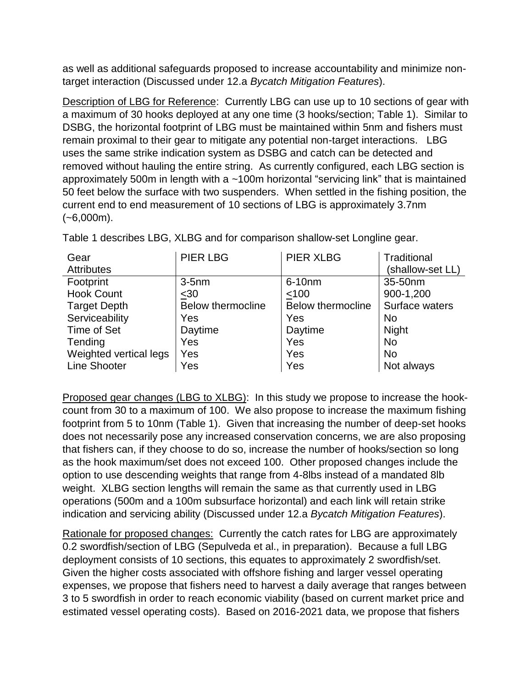as well as additional safeguards proposed to increase accountability and minimize nontarget interaction (Discussed under 12.a *Bycatch Mitigation Features*).

Description of LBG for Reference: Currently LBG can use up to 10 sections of gear with a maximum of 30 hooks deployed at any one time (3 hooks/section; Table 1). Similar to DSBG, the horizontal footprint of LBG must be maintained within 5nm and fishers must remain proximal to their gear to mitigate any potential non-target interactions. LBG uses the same strike indication system as DSBG and catch can be detected and removed without hauling the entire string. As currently configured, each LBG section is approximately 500m in length with a ~100m horizontal "servicing link" that is maintained 50 feet below the surface with two suspenders. When settled in the fishing position, the current end to end measurement of 10 sections of LBG is approximately 3.7nm  $(-6,000m)$ .

| Gear<br><b>Attributes</b> | <b>PIER LBG</b>          | <b>PIER XLBG</b>         | Traditional<br>(shallow-set LL) |
|---------------------------|--------------------------|--------------------------|---------------------------------|
| Footprint                 | $3-5$ nm                 | 6-10nm                   | 35-50nm                         |
| <b>Hook Count</b>         | $30$                     | < 100                    | 900-1,200                       |
| <b>Target Depth</b>       | <b>Below thermocline</b> | <b>Below thermocline</b> | Surface waters                  |
| Serviceability            | Yes                      | Yes                      | <b>No</b>                       |
| Time of Set               | Daytime                  | Daytime                  | Night                           |
| Tending                   | <b>Yes</b>               | Yes                      | <b>No</b>                       |
| Weighted vertical legs    | Yes                      | Yes                      | <b>No</b>                       |
| <b>Line Shooter</b>       | Yes                      | Yes                      | Not always                      |

Table 1 describes LBG, XLBG and for comparison shallow-set Longline gear.

Proposed gear changes (LBG to XLBG): In this study we propose to increase the hookcount from 30 to a maximum of 100. We also propose to increase the maximum fishing footprint from 5 to 10nm (Table 1). Given that increasing the number of deep-set hooks does not necessarily pose any increased conservation concerns, we are also proposing that fishers can, if they choose to do so, increase the number of hooks/section so long as the hook maximum/set does not exceed 100. Other proposed changes include the option to use descending weights that range from 4-8lbs instead of a mandated 8lb weight. XLBG section lengths will remain the same as that currently used in LBG operations (500m and a 100m subsurface horizontal) and each link will retain strike indication and servicing ability (Discussed under 12.a *Bycatch Mitigation Features*).

Rationale for proposed changes: Currently the catch rates for LBG are approximately 0.2 swordfish/section of LBG (Sepulveda et al., in preparation). Because a full LBG deployment consists of 10 sections, this equates to approximately 2 swordfish/set. Given the higher costs associated with offshore fishing and larger vessel operating expenses, we propose that fishers need to harvest a daily average that ranges between 3 to 5 swordfish in order to reach economic viability (based on current market price and estimated vessel operating costs). Based on 2016-2021 data, we propose that fishers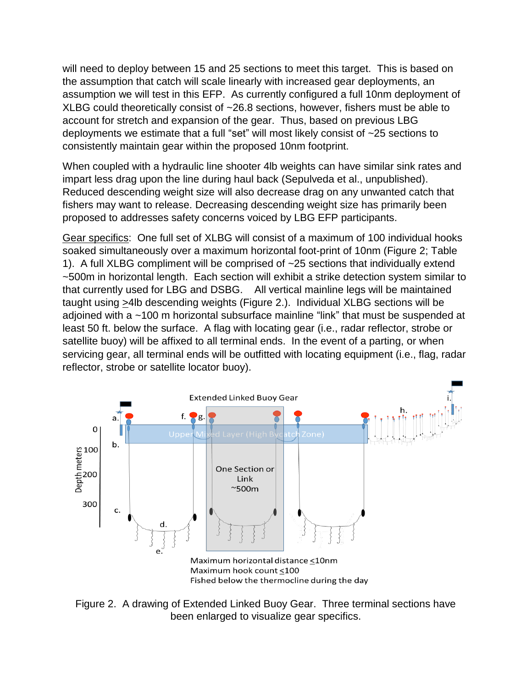will need to deploy between 15 and 25 sections to meet this target. This is based on the assumption that catch will scale linearly with increased gear deployments, an assumption we will test in this EFP. As currently configured a full 10nm deployment of XLBG could theoretically consist of ~26.8 sections, however, fishers must be able to account for stretch and expansion of the gear. Thus, based on previous LBG deployments we estimate that a full "set" will most likely consist of ~25 sections to consistently maintain gear within the proposed 10nm footprint.

When coupled with a hydraulic line shooter 4lb weights can have similar sink rates and impart less drag upon the line during haul back (Sepulveda et al., unpublished). Reduced descending weight size will also decrease drag on any unwanted catch that fishers may want to release. Decreasing descending weight size has primarily been proposed to addresses safety concerns voiced by LBG EFP participants.

Gear specifics: One full set of XLBG will consist of a maximum of 100 individual hooks soaked simultaneously over a maximum horizontal foot-print of 10nm (Figure 2; Table 1). A full XLBG compliment will be comprised of ~25 sections that individually extend ~500m in horizontal length. Each section will exhibit a strike detection system similar to that currently used for LBG and DSBG. All vertical mainline legs will be maintained taught using >4lb descending weights (Figure 2.). Individual XLBG sections will be adjoined with a ~100 m horizontal subsurface mainline "link" that must be suspended at least 50 ft. below the surface. A flag with locating gear (i.e., radar reflector, strobe or satellite buoy) will be affixed to all terminal ends. In the event of a parting, or when servicing gear, all terminal ends will be outfitted with locating equipment (i.e., flag, radar reflector, strobe or satellite locator buoy).



Figure 2. A drawing of Extended Linked Buoy Gear. Three terminal sections have been enlarged to visualize gear specifics.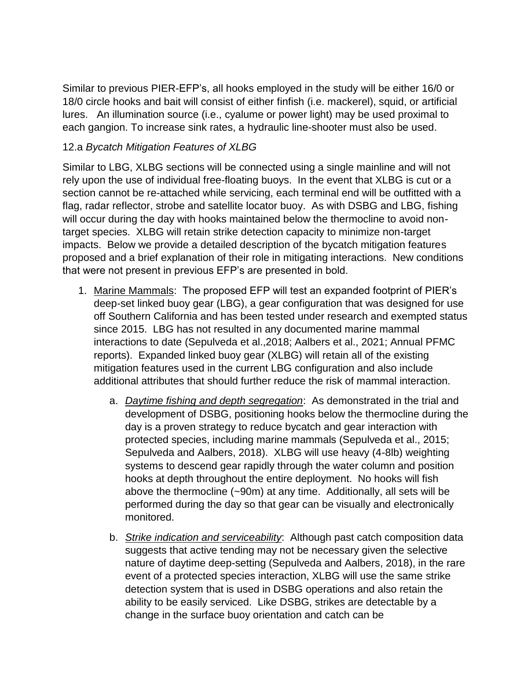Similar to previous PIER-EFP's, all hooks employed in the study will be either 16/0 or 18/0 circle hooks and bait will consist of either finfish (i.e. mackerel), squid, or artificial lures. An illumination source (i.e., cyalume or power light) may be used proximal to each gangion. To increase sink rates, a hydraulic line-shooter must also be used.

### 12.a *Bycatch Mitigation Features of XLBG*

Similar to LBG, XLBG sections will be connected using a single mainline and will not rely upon the use of individual free-floating buoys. In the event that XLBG is cut or a section cannot be re-attached while servicing, each terminal end will be outfitted with a flag, radar reflector, strobe and satellite locator buoy. As with DSBG and LBG, fishing will occur during the day with hooks maintained below the thermocline to avoid nontarget species. XLBG will retain strike detection capacity to minimize non-target impacts. Below we provide a detailed description of the bycatch mitigation features proposed and a brief explanation of their role in mitigating interactions. New conditions that were not present in previous EFP's are presented in bold.

- 1. Marine Mammals: The proposed EFP will test an expanded footprint of PIER's deep-set linked buoy gear (LBG), a gear configuration that was designed for use off Southern California and has been tested under research and exempted status since 2015. LBG has not resulted in any documented marine mammal interactions to date (Sepulveda et al.,2018; Aalbers et al., 2021; Annual PFMC reports). Expanded linked buoy gear (XLBG) will retain all of the existing mitigation features used in the current LBG configuration and also include additional attributes that should further reduce the risk of mammal interaction.
	- a. *Daytime fishing and depth segregation*: As demonstrated in the trial and development of DSBG, positioning hooks below the thermocline during the day is a proven strategy to reduce bycatch and gear interaction with protected species, including marine mammals (Sepulveda et al., 2015; Sepulveda and Aalbers, 2018). XLBG will use heavy (4-8lb) weighting systems to descend gear rapidly through the water column and position hooks at depth throughout the entire deployment. No hooks will fish above the thermocline (~90m) at any time. Additionally, all sets will be performed during the day so that gear can be visually and electronically monitored.
	- b. *Strike indication and serviceability*: Although past catch composition data suggests that active tending may not be necessary given the selective nature of daytime deep-setting (Sepulveda and Aalbers, 2018), in the rare event of a protected species interaction, XLBG will use the same strike detection system that is used in DSBG operations and also retain the ability to be easily serviced. Like DSBG, strikes are detectable by a change in the surface buoy orientation and catch can be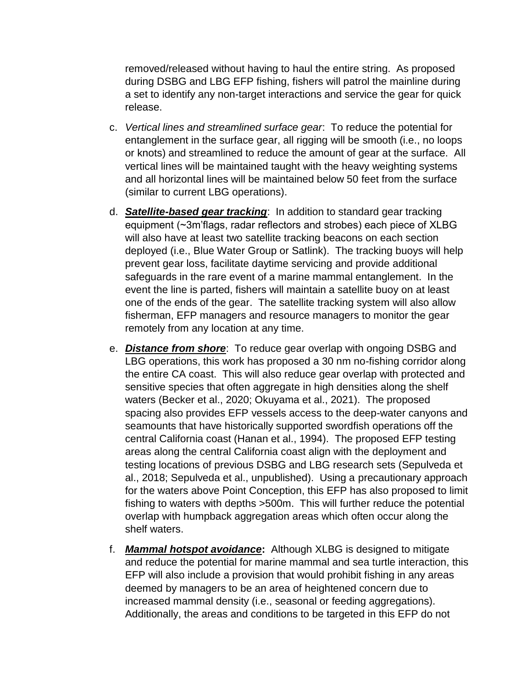removed/released without having to haul the entire string. As proposed during DSBG and LBG EFP fishing, fishers will patrol the mainline during a set to identify any non-target interactions and service the gear for quick release.

- c. *Vertical lines and streamlined surface gear*: To reduce the potential for entanglement in the surface gear, all rigging will be smooth (i.e., no loops or knots) and streamlined to reduce the amount of gear at the surface. All vertical lines will be maintained taught with the heavy weighting systems and all horizontal lines will be maintained below 50 feet from the surface (similar to current LBG operations).
- d. *Satellite-based gear tracking*: In addition to standard gear tracking equipment (~3m'flags, radar reflectors and strobes) each piece of XLBG will also have at least two satellite tracking beacons on each section deployed (i.e., Blue Water Group or Satlink). The tracking buoys will help prevent gear loss, facilitate daytime servicing and provide additional safeguards in the rare event of a marine mammal entanglement. In the event the line is parted, fishers will maintain a satellite buoy on at least one of the ends of the gear. The satellite tracking system will also allow fisherman, EFP managers and resource managers to monitor the gear remotely from any location at any time.
- e. *Distance from shore*: To reduce gear overlap with ongoing DSBG and LBG operations, this work has proposed a 30 nm no-fishing corridor along the entire CA coast. This will also reduce gear overlap with protected and sensitive species that often aggregate in high densities along the shelf waters (Becker et al., 2020; Okuyama et al., 2021). The proposed spacing also provides EFP vessels access to the deep-water canyons and seamounts that have historically supported swordfish operations off the central California coast (Hanan et al., 1994). The proposed EFP testing areas along the central California coast align with the deployment and testing locations of previous DSBG and LBG research sets (Sepulveda et al., 2018; Sepulveda et al., unpublished). Using a precautionary approach for the waters above Point Conception, this EFP has also proposed to limit fishing to waters with depths >500m. This will further reduce the potential overlap with humpback aggregation areas which often occur along the shelf waters.
- f. *Mammal hotspot avoidance***:** Although XLBG is designed to mitigate and reduce the potential for marine mammal and sea turtle interaction, this EFP will also include a provision that would prohibit fishing in any areas deemed by managers to be an area of heightened concern due to increased mammal density (i.e., seasonal or feeding aggregations). Additionally, the areas and conditions to be targeted in this EFP do not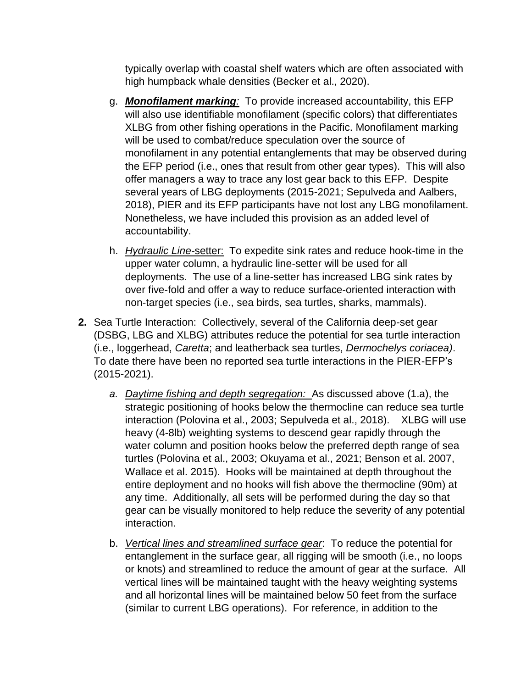typically overlap with coastal shelf waters which are often associated with high humpback whale densities (Becker et al., 2020).

- g. *Monofilament marking:* To provide increased accountability, this EFP will also use identifiable monofilament (specific colors) that differentiates XLBG from other fishing operations in the Pacific. Monofilament marking will be used to combat/reduce speculation over the source of monofilament in any potential entanglements that may be observed during the EFP period (i.e., ones that result from other gear types). This will also offer managers a way to trace any lost gear back to this EFP. Despite several years of LBG deployments (2015-2021; Sepulveda and Aalbers, 2018), PIER and its EFP participants have not lost any LBG monofilament. Nonetheless, we have included this provision as an added level of accountability.
- h. *Hydraulic Line-*setter: To expedite sink rates and reduce hook-time in the upper water column, a hydraulic line-setter will be used for all deployments. The use of a line-setter has increased LBG sink rates by over five-fold and offer a way to reduce surface-oriented interaction with non-target species (i.e., sea birds, sea turtles, sharks, mammals).
- **2.** Sea Turtle Interaction: Collectively, several of the California deep-set gear (DSBG, LBG and XLBG) attributes reduce the potential for sea turtle interaction (i.e., loggerhead, *Caretta*; and leatherback sea turtles, *Dermochelys coriacea)*. To date there have been no reported sea turtle interactions in the PIER-EFP's (2015-2021).
	- *a. Daytime fishing and depth segregation:* As discussed above (1.a), the strategic positioning of hooks below the thermocline can reduce sea turtle interaction (Polovina et al., 2003; Sepulveda et al., 2018). XLBG will use heavy (4-8lb) weighting systems to descend gear rapidly through the water column and position hooks below the preferred depth range of sea turtles (Polovina et al., 2003; Okuyama et al., 2021; Benson et al. 2007, Wallace et al. 2015). Hooks will be maintained at depth throughout the entire deployment and no hooks will fish above the thermocline (90m) at any time. Additionally, all sets will be performed during the day so that gear can be visually monitored to help reduce the severity of any potential interaction.
	- b. *Vertical lines and streamlined surface gear*: To reduce the potential for entanglement in the surface gear, all rigging will be smooth (i.e., no loops or knots) and streamlined to reduce the amount of gear at the surface. All vertical lines will be maintained taught with the heavy weighting systems and all horizontal lines will be maintained below 50 feet from the surface (similar to current LBG operations). For reference, in addition to the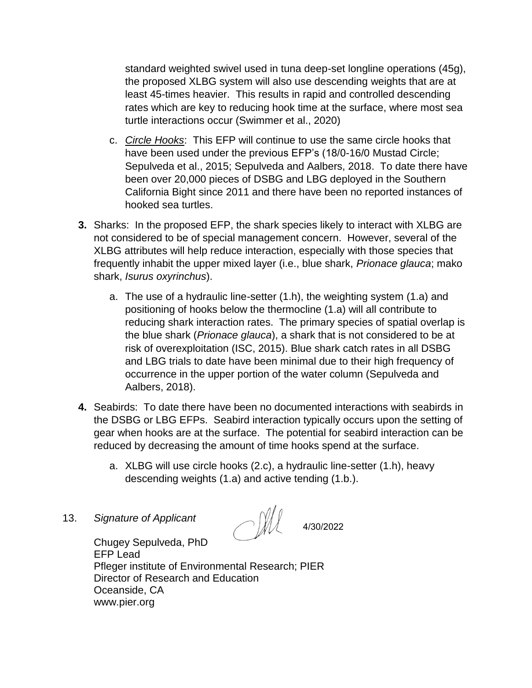standard weighted swivel used in tuna deep-set longline operations (45g), the proposed XLBG system will also use descending weights that are at least 45-times heavier. This results in rapid and controlled descending rates which are key to reducing hook time at the surface, where most sea turtle interactions occur (Swimmer et al., 2020)

- c. *Circle Hooks*: This EFP will continue to use the same circle hooks that have been used under the previous EFP's (18/0-16/0 Mustad Circle; Sepulveda et al., 2015; Sepulveda and Aalbers, 2018. To date there have been over 20,000 pieces of DSBG and LBG deployed in the Southern California Bight since 2011 and there have been no reported instances of hooked sea turtles.
- **3.** Sharks: In the proposed EFP, the shark species likely to interact with XLBG are not considered to be of special management concern. However, several of the XLBG attributes will help reduce interaction, especially with those species that frequently inhabit the upper mixed layer (i.e., blue shark, *Prionace glauca*; mako shark, *Isurus oxyrinchus*).
	- a. The use of a hydraulic line-setter (1.h), the weighting system (1.a) and positioning of hooks below the thermocline (1.a) will all contribute to reducing shark interaction rates. The primary species of spatial overlap is the blue shark (*Prionace glauca*), a shark that is not considered to be at risk of overexploitation (ISC, 2015). Blue shark catch rates in all DSBG and LBG trials to date have been minimal due to their high frequency of occurrence in the upper portion of the water column (Sepulveda and Aalbers, 2018).
- **4.** Seabirds: To date there have been no documented interactions with seabirds in the DSBG or LBG EFPs. Seabird interaction typically occurs upon the setting of gear when hooks are at the surface. The potential for seabird interaction can be reduced by decreasing the amount of time hooks spend at the surface.
	- a. XLBG will use circle hooks (2.c), a hydraulic line-setter (1.h), heavy descending weights (1.a) and active tending (1.b.).
- 13. *Signature of Applicant*

- All

4/30/2022

Chugey Sepulveda, PhD EFP Lead Pfleger institute of Environmental Research; PIER Director of Research and Education Oceanside, CA www.pier.org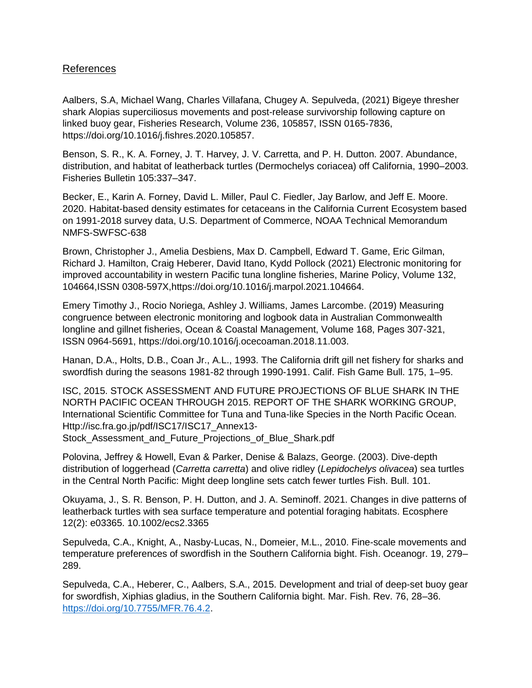### References

Aalbers, S.A, Michael Wang, Charles Villafana, Chugey A. Sepulveda, (2021) Bigeye thresher shark Alopias superciliosus movements and post-release survivorship following capture on linked buoy gear, Fisheries Research, Volume 236, 105857, ISSN 0165-7836, https://doi.org/10.1016/j.fishres.2020.105857.

Benson, S. R., K. A. Forney, J. T. Harvey, J. V. Carretta, and P. H. Dutton. 2007. Abundance, distribution, and habitat of leatherback turtles (Dermochelys coriacea) off California, 1990–2003. Fisheries Bulletin 105:337–347.

Becker, E., Karin A. Forney, David L. Miller, Paul C. Fiedler, Jay Barlow, and Jeff E. Moore. 2020. Habitat-based density estimates for cetaceans in the California Current Ecosystem based on 1991-2018 survey data, U.S. Department of Commerce, NOAA Technical Memorandum NMFS-SWFSC-638

Brown, Christopher J., Amelia Desbiens, Max D. Campbell, Edward T. Game, Eric Gilman, Richard J. Hamilton, Craig Heberer, David Itano, Kydd Pollock (2021) Electronic monitoring for improved accountability in western Pacific tuna longline fisheries, Marine Policy, Volume 132, 104664,ISSN 0308-597X,https://doi.org/10.1016/j.marpol.2021.104664.

Emery Timothy J., Rocio Noriega, Ashley J. Williams, James Larcombe. (2019) Measuring congruence between electronic monitoring and logbook data in Australian Commonwealth longline and gillnet fisheries, Ocean & Coastal Management, Volume 168, Pages 307-321, ISSN 0964-5691, https://doi.org/10.1016/j.ocecoaman.2018.11.003.

Hanan, D.A., Holts, D.B., Coan Jr., A.L., 1993. The California drift gill net fishery for sharks and swordfish during the seasons 1981-82 through 1990-1991. Calif. Fish Game Bull. 175, 1–95.

ISC, 2015. STOCK ASSESSMENT AND FUTURE PROJECTIONS OF BLUE SHARK IN THE NORTH PACIFIC OCEAN THROUGH 2015. REPORT OF THE SHARK WORKING GROUP, International Scientific Committee for Tuna and Tuna-like Species in the North Pacific Ocean. Http://isc.fra.go.jp/pdf/ISC17/ISC17\_Annex13- Stock\_Assessment\_and\_Future\_Projections\_of\_Blue\_Shark.pdf

Polovina, Jeffrey & Howell, Evan & Parker, Denise & Balazs, George. (2003). Dive-depth distribution of loggerhead (*Carretta carretta*) and olive ridley (*Lepidochelys olivacea*) sea turtles in the Central North Pacific: Might deep longline sets catch fewer turtles Fish. Bull. 101.

Okuyama, J., S. R. Benson, P. H. Dutton, and J. A. Seminoff. 2021. Changes in dive patterns of leatherback turtles with sea surface temperature and potential foraging habitats. Ecosphere 12(2): e03365. 10.1002/ecs2.3365

Sepulveda, C.A., Knight, A., Nasby-Lucas, N., Domeier, M.L., 2010. Fine-scale movements and temperature preferences of swordfish in the Southern California bight. Fish. Oceanogr. 19, 279– 289.

Sepulveda, C.A., Heberer, C., Aalbers, S.A., 2015. Development and trial of deep-set buoy gear for swordfish, Xiphias gladius, in the Southern California bight. Mar. Fish. Rev. 76, 28–36. [https://doi.org/10.7755/MFR.76.4.2.](https://doi.org/10.7755/MFR.76.4.2)